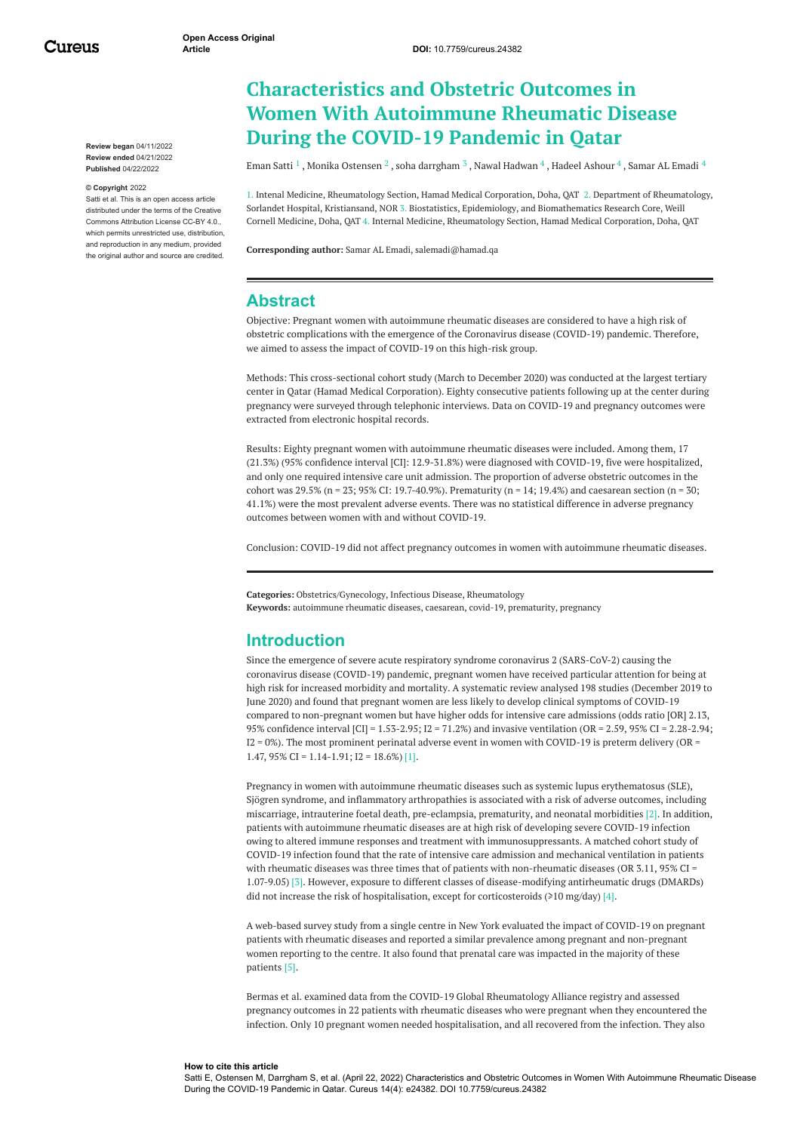Cureus

**Review began** 04/11/2022 **Review ended** 04/21/2022 **Published** 04/22/2022

#### **© Copyright** 2022

Satti et al. This is an open access article distributed under the terms of the Creative Commons Attribution License CC-BY 4.0., which permits unrestricted use, distribution, and reproduction in any medium, provided the original author and source are credited.

# **Characteristics and Obstetric Outcomes in Women With Autoimmune Rheumatic Disease During the COVID-19 Pandemic in Qatar**

[Eman](https://www.cureus.com/users/347002-eman-satti) Satti  $^1$  , Monika [Ostensen](https://www.cureus.com/users/347003-monika-ostensen)  $^2$  , soha [darrgham](https://www.cureus.com/users/347004-soha-darrgham)  $^3$  , Nawal [Hadwan](https://www.cureus.com/users/347006-nawal-n-hadwan-)  $^4$  , Hadeel [Ashour](https://www.cureus.com/users/347008-hadil-ashour)  $^4$  , Samar AL [Emadi](https://www.cureus.com/users/301351-samar-al-emadi)  $^4$ 

1. Intenal Medicine, Rheumatology Section, Hamad Medical Corporation, Doha, QAT 2. Department of Rheumatology, Sorlandet Hospital, Kristiansand, NOR 3. Biostatistics, Epidemiology, and Biomathematics Research Core, Weill Cornell Medicine, Doha, QAT 4. Internal Medicine, Rheumatology Section, Hamad Medical Corporation, Doha, QAT

**Corresponding author:** Samar AL Emadi, salemadi@hamad.qa

# **Abstract**

Objective: Pregnant women with autoimmune rheumatic diseases are considered to have a high risk of obstetric complications with the emergence of the Coronavirus disease (COVID-19) pandemic. Therefore, we aimed to assess the impact of COVID-19 on this high-risk group.

Methods: This cross-sectional cohort study (March to December 2020) was conducted at the largest tertiary center in Qatar (Hamad Medical Corporation). Eighty consecutive patients following up at the center during pregnancy were surveyed through telephonic interviews. Data on COVID-19 and pregnancy outcomes were extracted from electronic hospital records.

Results: Eighty pregnant women with autoimmune rheumatic diseases were included. Among them, 17 (21.3%) (95% confidence interval [CI]: 12.9-31.8%) were diagnosed with COVID-19, five were hospitalized, and only one required intensive care unit admission. The proportion of adverse obstetric outcomes in the cohort was 29.5% (n = 23; 95% CI: 19.7-40.9%). Prematurity (n = 14; 19.4%) and caesarean section (n = 30; 41.1%) were the most prevalent adverse events. There was no statistical difference in adverse pregnancy outcomes between women with and without COVID-19.

Conclusion: COVID-19 did not affect pregnancy outcomes in women with autoimmune rheumatic diseases.

**Categories:** Obstetrics/Gynecology, Infectious Disease, Rheumatology **Keywords:** autoimmune rheumatic diseases, caesarean, covid-19, prematurity, pregnancy

# **Introduction**

Since the emergence of severe acute respiratory syndrome coronavirus 2 (SARS-CoV-2) causing the coronavirus disease (COVID-19) pandemic, pregnant women have received particular attention for being at high risk for increased morbidity and mortality. A systematic review analysed 198 studies (December 2019 to June 2020) and found that pregnant women are less likely to develop clinical symptoms of COVID-19 compared to non-pregnant women but have higher odds for intensive care admissions (odds ratio [OR] 2.13, 95% confidence interval [CI] = 1.53-2.95; I2 = 71.2%) and invasive ventilation (OR = 2.59, 95% CI = 2.28-2.94;  $I2 = 0$ %). The most prominent perinatal adverse event in women with COVID-19 is preterm delivery (OR = 1.47,  $95\%$  CI = 1.14-1.91; I2 = 18.6%) [1].

Pregnancy in women with autoimmune rheumatic diseases such as systemic lupus erythematosus (SLE), Sjögren syndrome, and inflammatory arthropathies is associated with a risk of adverse outcomes, including miscarriage, intrauterine foetal death, pre-eclampsia, prematurity, and neonatal morbidities [2]. In addition, patients with autoimmune rheumatic diseases are at high risk of developing severe COVID-19 infection owing to altered immune responses and treatment with immunosuppressants. A matched cohort study of COVID-19 infection found that the rate of intensive care admission and mechanical ventilation in patients with rheumatic diseases was three times that of patients with non-rheumatic diseases (OR 3.11, 95% CI = 1.07-9.05) [3]. However, exposure to different classes of disease-modifying antirheumatic drugs (DMARDs) did not increase the risk of hospitalisation, except for corticosteroids  $\geq 10$  mg/day) [4].

A web-based survey study from a single centre in New York evaluated the impact of COVID-19 on pregnant patients with rheumatic diseases and reported a similar prevalence among pregnant and non-pregnant women reporting to the centre. It also found that prenatal care was impacted in the majority of these patients [5].

Bermas et al. examined data from the COVID-19 Global Rheumatology Alliance registry and assessed pregnancy outcomes in 22 patients with rheumatic diseases who were pregnant when they encountered the infection. Only 10 pregnant women needed hospitalisation, and all recovered from the infection. They also

#### **How to cite this article**

Satti E, Ostensen M, Darrgham S, et al. (April 22, 2022) Characteristics and Obstetric Outcomes in Women With Autoimmune Rheumatic Disease During the COVID-19 Pandemic in Qatar. Cureus 14(4): e24382. DOI 10.7759/cureus.24382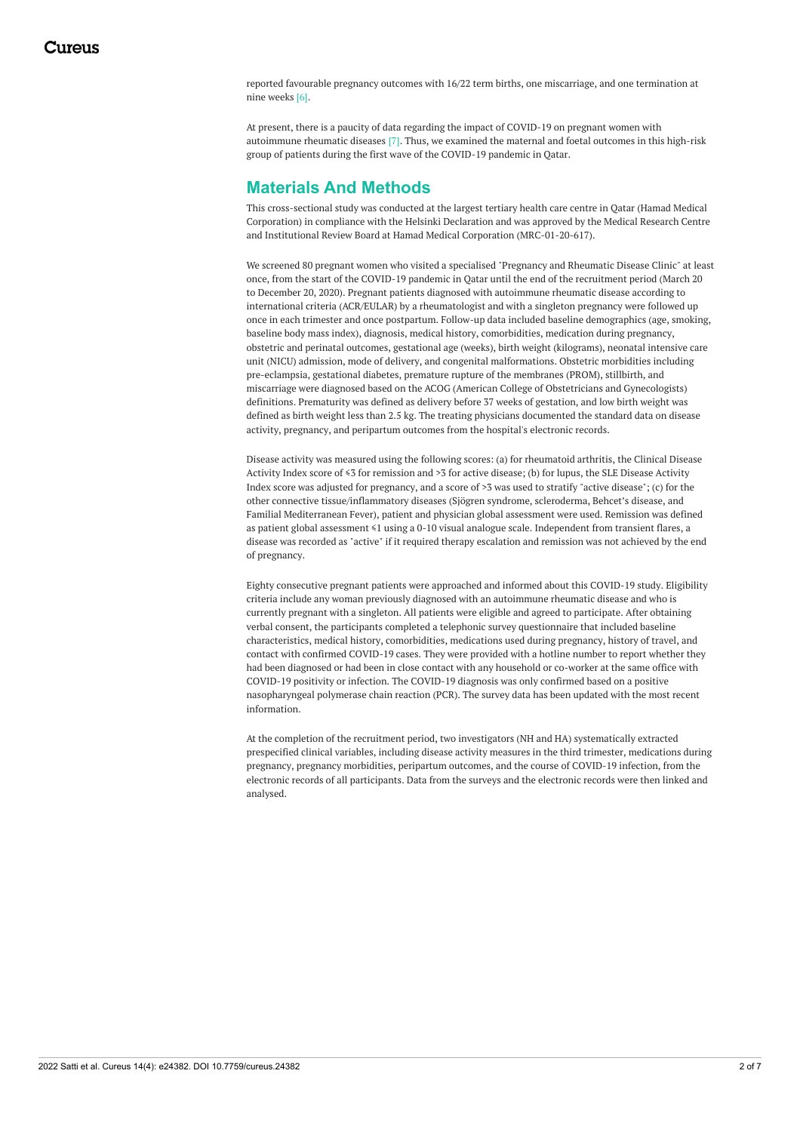reported favourable pregnancy outcomes with 16/22 term births, one miscarriage, and one termination at nine weeks [6].

At present, there is a paucity of data regarding the impact of COVID-19 on pregnant women with autoimmune rheumatic diseases [7]. Thus, we examined the maternal and foetal outcomes in this high-risk group of patients during the first wave of the COVID-19 pandemic in Qatar.

# **Materials And Methods**

This cross-sectional study was conducted at the largest tertiary health care centre in Qatar (Hamad Medical Corporation) in compliance with the Helsinki Declaration and was approved by the Medical Research Centre and Institutional Review Board at Hamad Medical Corporation (MRC-01-20-617).

We screened 80 pregnant women who visited a specialised "Pregnancy and Rheumatic Disease Clinic" at least once, from the start of the COVID-19 pandemic in Qatar until the end of the recruitment period (March 20 to December 20, 2020). Pregnant patients diagnosed with autoimmune rheumatic disease according to international criteria (ACR/EULAR) by a rheumatologist and with a singleton pregnancy were followed up once in each trimester and once postpartum. Follow-up data included baseline demographics (age, smoking, baseline body mass index), diagnosis, medical history, comorbidities, medication during pregnancy, obstetric and perinatal outcomes, gestational age (weeks), birth weight (kilograms), neonatal intensive care unit (NICU) admission, mode of delivery, and congenital malformations. Obstetric morbidities including pre-eclampsia, gestational diabetes, premature rupture of the membranes (PROM), stillbirth, and miscarriage were diagnosed based on the ACOG (American College of Obstetricians and Gynecologists) definitions. Prematurity was defined as delivery before 37 weeks of gestation, and low birth weight was defined as birth weight less than 2.5 kg. The treating physicians documented the standard data on disease activity, pregnancy, and peripartum outcomes from the hospital's electronic records.

Disease activity was measured using the following scores: (a) for rheumatoid arthritis, the Clinical Disease Activity Index score of ≤3 for remission and >3 for active disease; (b) for lupus, the SLE Disease Activity Index score was adjusted for pregnancy, and a score of >3 was used to stratify "active disease"; (c) for the other connective tissue/inflammatory diseases (Sjögren syndrome, scleroderma, Behcet's disease, and Familial Mediterranean Fever), patient and physician global assessment were used. Remission was defined as patient global assessment ≤1 using a 0-10 visual analogue scale. Independent from transient flares, a disease was recorded as "active" if it required therapy escalation and remission was not achieved by the end of pregnancy.

Eighty consecutive pregnant patients were approached and informed about this COVID-19 study. Eligibility criteria include any woman previously diagnosed with an autoimmune rheumatic disease and who is currently pregnant with a singleton. All patients were eligible and agreed to participate. After obtaining verbal consent, the participants completed a telephonic survey questionnaire that included baseline characteristics, medical history, comorbidities, medications used during pregnancy, history of travel, and contact with confirmed COVID-19 cases. They were provided with a hotline number to report whether they had been diagnosed or had been in close contact with any household or co-worker at the same office with COVID-19 positivity or infection. The COVID-19 diagnosis was only confirmed based on a positive nasopharyngeal polymerase chain reaction (PCR). The survey data has been updated with the most recent information.

At the completion of the recruitment period, two investigators (NH and HA) systematically extracted prespecified clinical variables, including disease activity measures in the third trimester, medications during pregnancy, pregnancy morbidities, peripartum outcomes, and the course of COVID-19 infection, from the electronic records of all participants. Data from the surveys and the electronic records were then linked and analysed.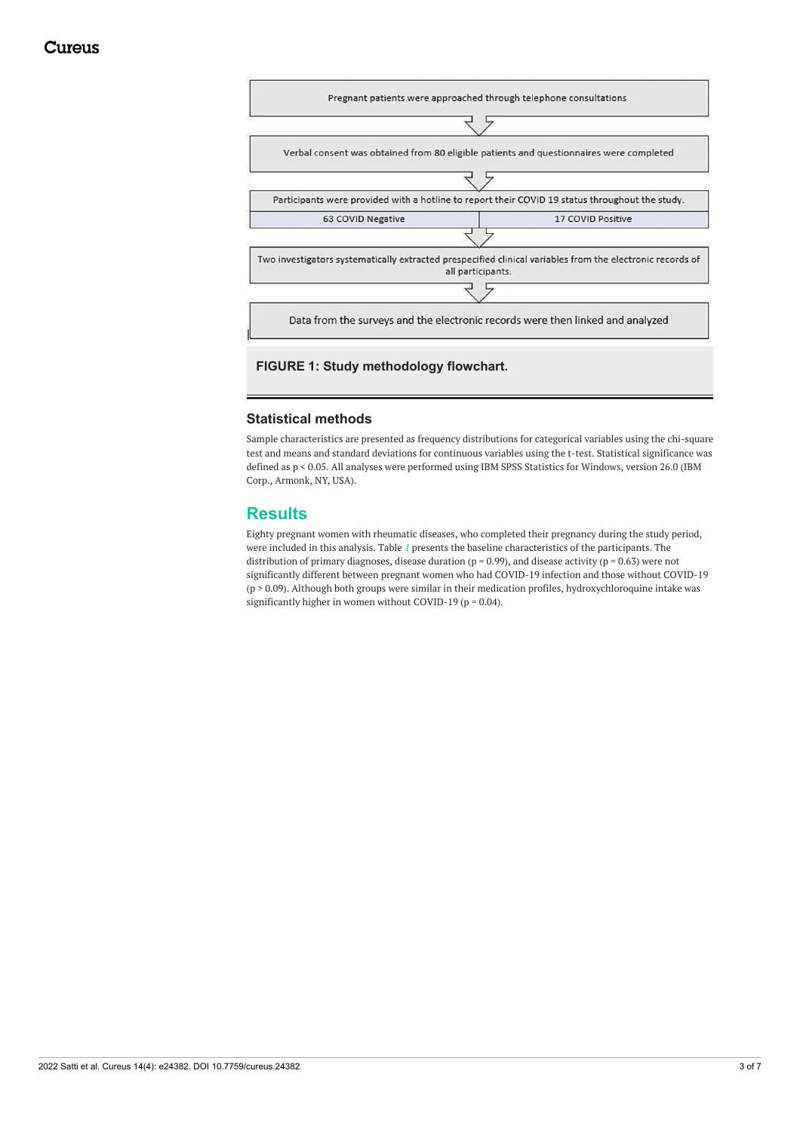

# **FIGURE 1: Study methodology flowchart.**

#### **Statistical methods**

Sample characteristics are presented as frequency distributions for categorical variables using the chi-square test and means and standard deviations for continuous variables using the t-test. Statistical significance was defined as p < 0.05. All analyses were performed using IBM SPSS Statistics for Windows, version 26.0 (IBM Corp., Armonk, NY, USA).

## **Results**

Eighty pregnant women with rheumatic diseases, who completed their pregnancy during the study period, were included in this analysis. Table *[1](#page-3-0)* presents the baseline characteristics of the participants. The distribution of primary diagnoses, disease duration ( $p = 0.99$ ), and disease activity ( $p = 0.63$ ) were not significantly different between pregnant women who had COVID-19 infection and those without COVID-19 (p > 0.09). Although both groups were similar in their medication profiles, hydroxychloroquine intake was significantly higher in women without COVID-19 ( $p = 0.04$ ).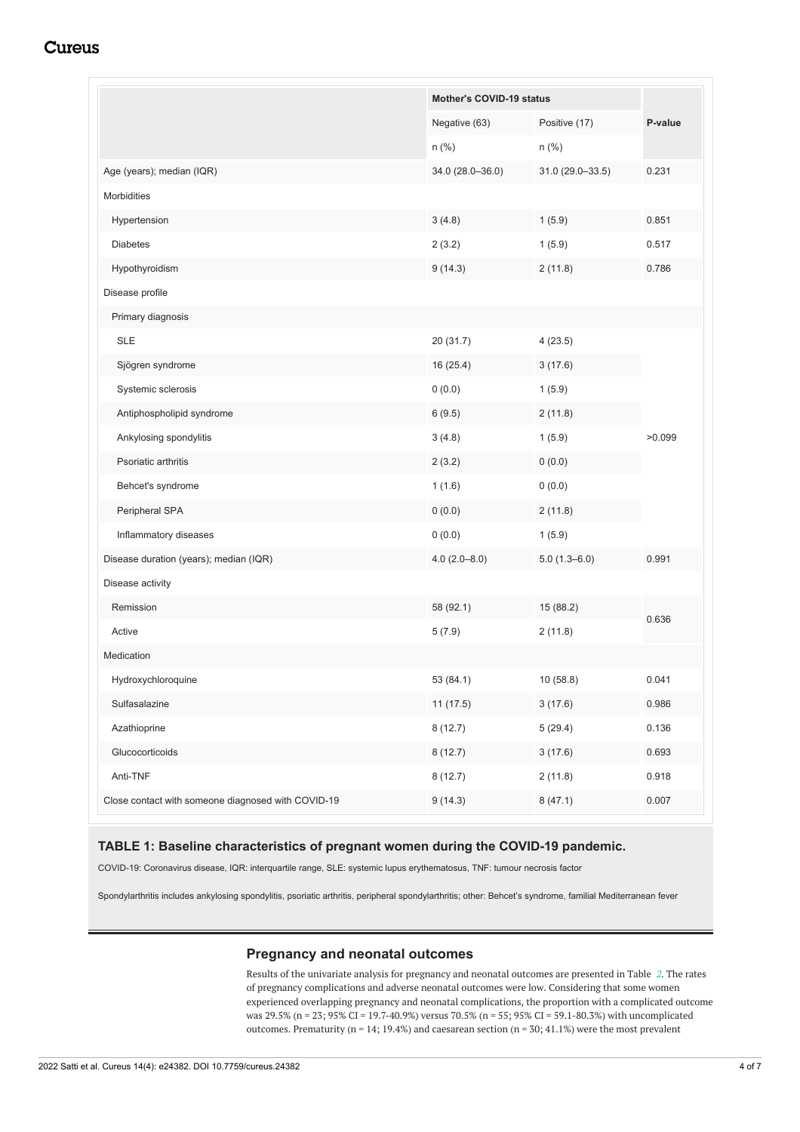# **Cureus**

<span id="page-3-0"></span>

|                                                    |                  | Mother's COVID-19 status |         |
|----------------------------------------------------|------------------|--------------------------|---------|
|                                                    | Negative (63)    | Positive (17)<br>$n$ (%) | P-value |
|                                                    | n (%)            |                          |         |
| Age (years); median (IQR)                          | 34.0 (28.0-36.0) | 31.0 (29.0-33.5)         | 0.231   |
| <b>Morbidities</b>                                 |                  |                          |         |
| Hypertension                                       | 3(4.8)           | 1(5.9)                   | 0.851   |
| <b>Diabetes</b>                                    | 2(3.2)           | 1(5.9)                   | 0.517   |
| Hypothyroidism                                     | 9(14.3)          | 2(11.8)                  | 0.786   |
| Disease profile                                    |                  |                          |         |
| Primary diagnosis                                  |                  |                          |         |
| <b>SLE</b>                                         | 20 (31.7)        | 4(23.5)                  |         |
| Sjögren syndrome                                   | 16(25.4)         | 3(17.6)                  | >0.099  |
| Systemic sclerosis                                 | 0(0.0)           | 1(5.9)                   |         |
| Antiphospholipid syndrome                          | 6(9.5)           | 2(11.8)                  |         |
| Ankylosing spondylitis                             | 3(4.8)           | 1(5.9)                   |         |
| Psoriatic arthritis                                | 2(3.2)           | 0(0.0)                   |         |
| Behcet's syndrome                                  | 1(1.6)           | 0(0.0)                   |         |
| Peripheral SPA                                     | 0(0.0)           | 2(11.8)                  |         |
| Inflammatory diseases                              | 0(0.0)           | 1(5.9)                   |         |
| Disease duration (years); median (IQR)             | $4.0(2.0 - 8.0)$ | $5.0(1.3 - 6.0)$         | 0.991   |
| Disease activity                                   |                  |                          |         |
| Remission                                          | 58 (92.1)        | 15 (88.2)                | 0.636   |
| Active                                             | 5(7.9)           | 2(11.8)                  |         |
| Medication                                         |                  |                          |         |
| Hydroxychloroquine                                 | 53 (84.1)        | 10 (58.8)                | 0.041   |
| Sulfasalazine                                      | 11(17.5)         | 3(17.6)                  | 0.986   |
| Azathioprine                                       | 8(12.7)          | 5(29.4)                  | 0.136   |
| Glucocorticoids                                    | 8(12.7)          | 3(17.6)                  | 0.693   |
| Anti-TNF                                           | 8(12.7)          | 2(11.8)                  | 0.918   |
| Close contact with someone diagnosed with COVID-19 | 9(14.3)          | 8(47.1)                  | 0.007   |

#### **TABLE 1: Baseline characteristics of pregnant women during the COVID-19 pandemic.**

COVID-19: Coronavirus disease, IQR: interquartile range, SLE: systemic lupus erythematosus, TNF: tumour necrosis factor

Spondylarthritis includes ankylosing spondylitis, psoriatic arthritis, peripheral spondylarthritis; other: Behcet's syndrome, familial Mediterranean fever

#### **Pregnancy and neonatal outcomes**

Results of the univariate analysis for pregnancy and neonatal outcomes are presented in Table *[2](#page-4-0)*. The rates of pregnancy complications and adverse neonatal outcomes were low. Considering that some women experienced overlapping pregnancy and neonatal complications, the proportion with a complicated outcome was 29.5% (n = 23; 95% CI = 19.7-40.9%) versus 70.5% (n = 55; 95% CI = 59.1-80.3%) with uncomplicated outcomes. Prematurity ( $n = 14$ ; 19.4%) and caesarean section ( $n = 30$ ; 41.1%) were the most prevalent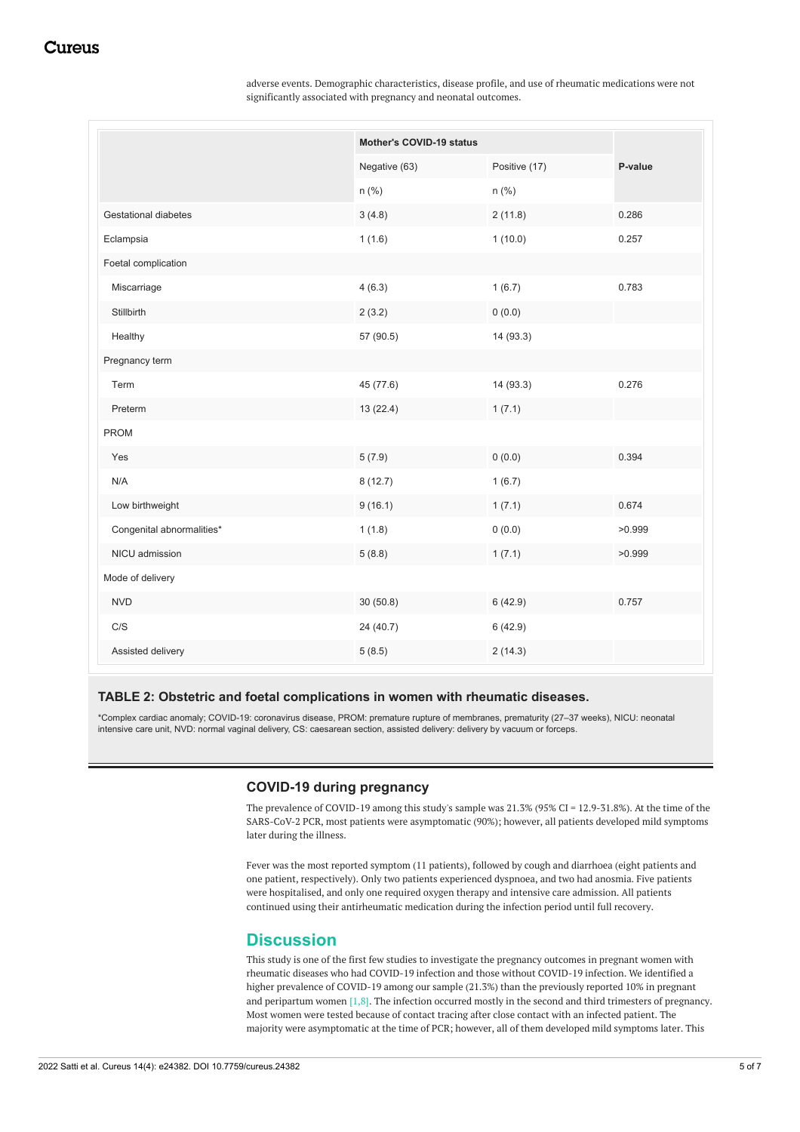adverse events. Demographic characteristics, disease profile, and use of rheumatic medications were not significantly associated with pregnancy and neonatal outcomes.

<span id="page-4-0"></span>

|                           |               | Mother's COVID-19 status |         |  |
|---------------------------|---------------|--------------------------|---------|--|
|                           | Negative (63) | Positive (17)            | P-value |  |
|                           | n (%)         | n (%)                    |         |  |
| Gestational diabetes      | 3(4.8)        | 2(11.8)                  | 0.286   |  |
| Eclampsia                 | 1(1.6)        | 1(10.0)                  | 0.257   |  |
| Foetal complication       |               |                          |         |  |
| Miscarriage               | 4(6.3)        | 1(6.7)                   | 0.783   |  |
| Stillbirth                | 2(3.2)        | 0(0.0)                   |         |  |
| Healthy                   | 57 (90.5)     | 14 (93.3)                |         |  |
| Pregnancy term            |               |                          |         |  |
| Term                      | 45 (77.6)     | 14 (93.3)                | 0.276   |  |
| Preterm                   | 13 (22.4)     | 1(7.1)                   |         |  |
| <b>PROM</b>               |               |                          |         |  |
| Yes                       | 5(7.9)        | 0(0.0)                   | 0.394   |  |
| N/A                       | 8(12.7)       | 1(6.7)                   |         |  |
| Low birthweight           | 9(16.1)       | 1(7.1)                   | 0.674   |  |
| Congenital abnormalities* | 1(1.8)        | 0(0.0)                   | >0.999  |  |
| NICU admission            | 5(8.8)        | 1(7.1)                   | >0.999  |  |
| Mode of delivery          |               |                          |         |  |
| <b>NVD</b>                | 30(50.8)      | 6(42.9)                  | 0.757   |  |
| C/S                       | 24 (40.7)     | 6(42.9)                  |         |  |
| Assisted delivery         | 5(8.5)        | 2(14.3)                  |         |  |

#### **TABLE 2: Obstetric and foetal complications in women with rheumatic diseases.**

\*Complex cardiac anomaly; COVID-19: coronavirus disease, PROM: premature rupture of membranes, prematurity (27–37 weeks), NICU: neonatal intensive care unit, NVD: normal vaginal delivery, CS: caesarean section, assisted delivery: delivery by vacuum or forceps.

#### **COVID-19 during pregnancy**

The prevalence of COVID-19 among this study's sample was 21.3% (95% CI = 12.9-31.8%). At the time of the SARS-CoV-2 PCR, most patients were asymptomatic (90%); however, all patients developed mild symptoms later during the illness.

Fever was the most reported symptom (11 patients), followed by cough and diarrhoea (eight patients and one patient, respectively). Only two patients experienced dyspnoea, and two had anosmia. Five patients were hospitalised, and only one required oxygen therapy and intensive care admission. All patients continued using their antirheumatic medication during the infection period until full recovery.

# **Discussion**

This study is one of the first few studies to investigate the pregnancy outcomes in pregnant women with rheumatic diseases who had COVID-19 infection and those without COVID-19 infection. We identified a higher prevalence of COVID-19 among our sample (21.3%) than the previously reported 10% in pregnant and peripartum women [1,8]. The infection occurred mostly in the second and third trimesters of pregnancy. Most women were tested because of contact tracing after close contact with an infected patient. The majority were asymptomatic at the time of PCR; however, all of them developed mild symptoms later. This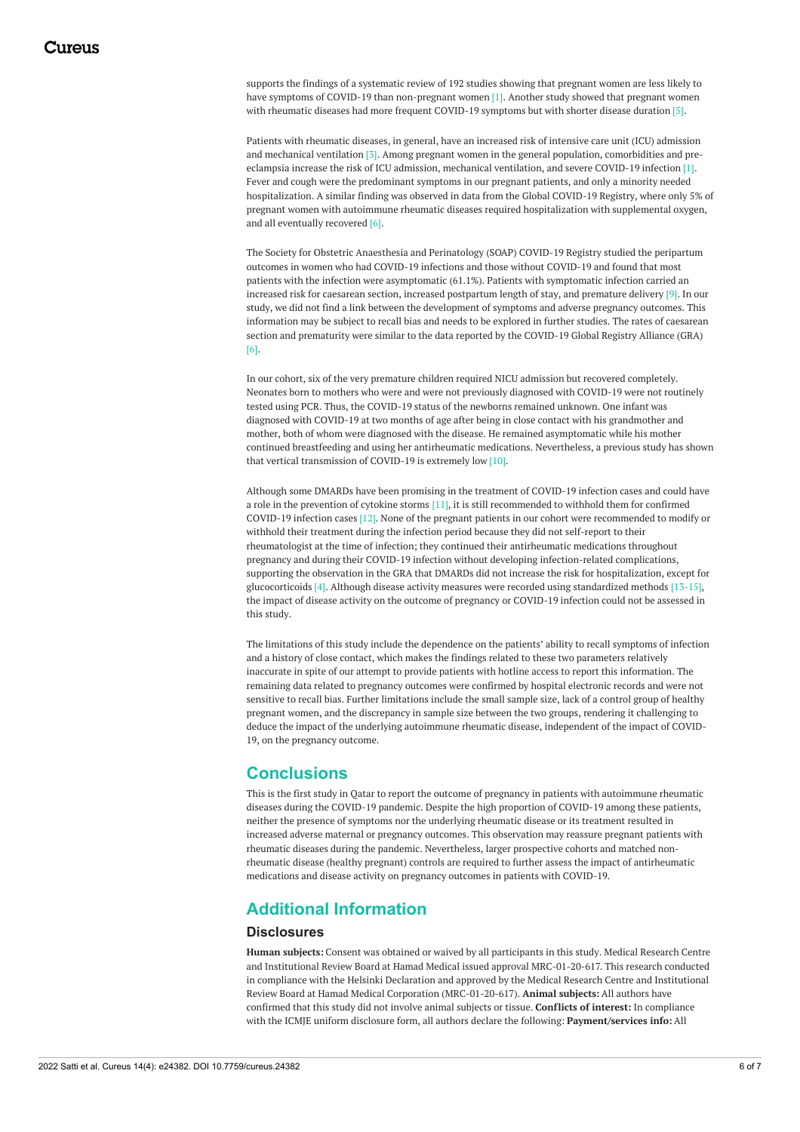supports the findings of a systematic review of 192 studies showing that pregnant women are less likely to have symptoms of COVID-19 than non-pregnant women [1]. Another study showed that pregnant women with rheumatic diseases had more frequent COVID-19 symptoms but with shorter disease duration [5].

Patients with rheumatic diseases, in general, have an increased risk of intensive care unit (ICU) admission and mechanical ventilation [3]. Among pregnant women in the general population, comorbidities and preeclampsia increase the risk of ICU admission, mechanical ventilation, and severe COVID-19 infection [1]. Fever and cough were the predominant symptoms in our pregnant patients, and only a minority needed hospitalization. A similar finding was observed in data from the Global COVID-19 Registry, where only 5% of pregnant women with autoimmune rheumatic diseases required hospitalization with supplemental oxygen, and all eventually recovered [6].

The Society for Obstetric Anaesthesia and Perinatology (SOAP) COVID-19 Registry studied the peripartum outcomes in women who had COVID-19 infections and those without COVID-19 and found that most patients with the infection were asymptomatic (61.1%). Patients with symptomatic infection carried an increased risk for caesarean section, increased postpartum length of stay, and premature delivery [9]. In our study, we did not find a link between the development of symptoms and adverse pregnancy outcomes. This information may be subject to recall bias and needs to be explored in further studies. The rates of caesarean section and prematurity were similar to the data reported by the COVID-19 Global Registry Alliance (GRA) [6].

In our cohort, six of the very premature children required NICU admission but recovered completely. Neonates born to mothers who were and were not previously diagnosed with COVID-19 were not routinely tested using PCR. Thus, the COVID-19 status of the newborns remained unknown. One infant was diagnosed with COVID-19 at two months of age after being in close contact with his grandmother and mother, both of whom were diagnosed with the disease. He remained asymptomatic while his mother continued breastfeeding and using her antirheumatic medications. Nevertheless, a previous study has shown that vertical transmission of COVID-19 is extremely low [10].

Although some DMARDs have been promising in the treatment of COVID-19 infection cases and could have a role in the prevention of cytokine storms [11], it is still recommended to withhold them for confirmed COVID-19 infection cases [12]. None of the pregnant patients in our cohort were recommended to modify or withhold their treatment during the infection period because they did not self-report to their rheumatologist at the time of infection; they continued their antirheumatic medications throughout pregnancy and during their COVID-19 infection without developing infection-related complications, supporting the observation in the GRA that DMARDs did not increase the risk for hospitalization, except for glucocorticoids [4]. Although disease activity measures were recorded using standardized methods [13-15], the impact of disease activity on the outcome of pregnancy or COVID-19 infection could not be assessed in this study.

The limitations of this study include the dependence on the patients' ability to recall symptoms of infection and a history of close contact, which makes the findings related to these two parameters relatively inaccurate in spite of our attempt to provide patients with hotline access to report this information. The remaining data related to pregnancy outcomes were confirmed by hospital electronic records and were not sensitive to recall bias. Further limitations include the small sample size, lack of a control group of healthy pregnant women, and the discrepancy in sample size between the two groups, rendering it challenging to deduce the impact of the underlying autoimmune rheumatic disease, independent of the impact of COVID-19, on the pregnancy outcome.

## **Conclusions**

This is the first study in Qatar to report the outcome of pregnancy in patients with autoimmune rheumatic diseases during the COVID-19 pandemic. Despite the high proportion of COVID-19 among these patients, neither the presence of symptoms nor the underlying rheumatic disease or its treatment resulted in increased adverse maternal or pregnancy outcomes. This observation may reassure pregnant patients with rheumatic diseases during the pandemic. Nevertheless, larger prospective cohorts and matched nonrheumatic disease (healthy pregnant) controls are required to further assess the impact of antirheumatic medications and disease activity on pregnancy outcomes in patients with COVID-19.

# **Additional Information**

#### **Disclosures**

**Human subjects:** Consent was obtained or waived by all participants in this study. Medical Research Centre and Institutional Review Board at Hamad Medical issued approval MRC-01-20-617. This research conducted in compliance with the Helsinki Declaration and approved by the Medical Research Centre and Institutional Review Board at Hamad Medical Corporation (MRC-01-20-617). **Animal subjects:** All authors have confirmed that this study did not involve animal subjects or tissue. **Conflicts of interest:** In compliance with the ICMJE uniform disclosure form, all authors declare the following: **Payment/services info:** All